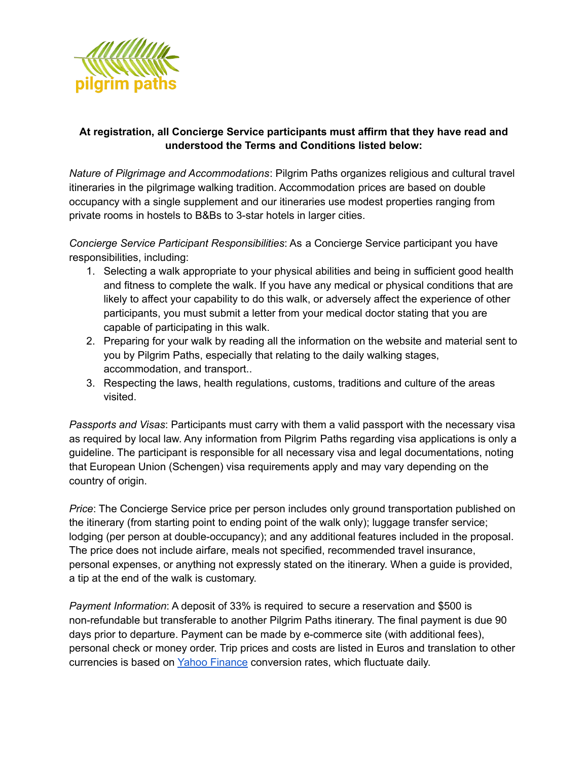

## **At registration, all Concierge Service participants must affirm that they have read and understood the Terms and Conditions listed below:**

*Nature of Pilgrimage and Accommodations*: Pilgrim Paths organizes religious and cultural travel itineraries in the pilgrimage walking tradition. Accommodation prices are based on double occupancy with a single supplement and our itineraries use modest properties ranging from private rooms in hostels to B&Bs to 3-star hotels in larger cities.

*Concierge Service Participant Responsibilities*: As a Concierge Service participant you have responsibilities, including:

- 1. Selecting a walk appropriate to your physical abilities and being in sufficient good health and fitness to complete the walk. If you have any medical or physical conditions that are likely to affect your capability to do this walk, or adversely affect the experience of other participants, you must submit a letter from your medical doctor stating that you are capable of participating in this walk.
- 2. Preparing for your walk by reading all the information on the website and material sent to you by Pilgrim Paths, especially that relating to the daily walking stages, accommodation, and transport..
- 3. Respecting the laws, health regulations, customs, traditions and culture of the areas visited.

*Passports and Visas*: Participants must carry with them a valid passport with the necessary visa as required by local law. Any information from Pilgrim Paths regarding visa applications is only a guideline. The participant is responsible for all necessary visa and legal documentations, noting that European Union (Schengen) visa requirements apply and may vary depending on the country of origin.

*Price*: The Concierge Service price per person includes only ground transportation published on the itinerary (from starting point to ending point of the walk only); luggage transfer service; lodging (per person at double-occupancy); and any additional features included in the proposal. The price does not include airfare, meals not specified, recommended travel insurance, personal expenses, or anything not expressly stated on the itinerary. When a guide is provided, a tip at the end of the walk is customary.

*Payment Information*: A deposit of 33% is required to secure a reservation and \$500 is non-refundable but transferable to another Pilgrim Paths itinerary. The final payment is due 90 days prior to departure. Payment can be made by e-commerce site (with additional fees), personal check or money order. Trip prices and costs are listed in Euros and translation to other currencies is based on Yahoo Finance conversion rates, which fluctuate daily.